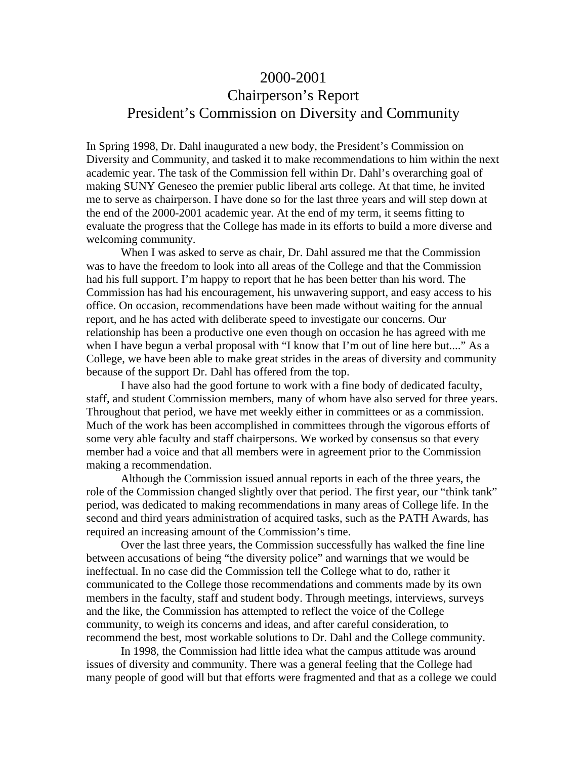# 2000-2001

# Chairperson's Report President's Commission on Diversity and Community

In Spring 1998, Dr. Dahl inaugurated a new body, the President's Commission on Diversity and Community, and tasked it to make recommendations to him within the next academic year. The task of the Commission fell within Dr. Dahl's overarching goal of making SUNY Geneseo the premier public liberal arts college. At that time, he invited me to serve as chairperson. I have done so for the last three years and will step down at the end of the 2000-2001 academic year. At the end of my term, it seems fitting to evaluate the progress that the College has made in its efforts to build a more diverse and welcoming community.

When I was asked to serve as chair, Dr. Dahl assured me that the Commission was to have the freedom to look into all areas of the College and that the Commission had his full support. I'm happy to report that he has been better than his word. The Commission has had his encouragement, his unwavering support, and easy access to his office. On occasion, recommendations have been made without waiting for the annual report, and he has acted with deliberate speed to investigate our concerns. Our relationship has been a productive one even though on occasion he has agreed with me when I have begun a verbal proposal with "I know that I'm out of line here but...." As a College, we have been able to make great strides in the areas of diversity and community because of the support Dr. Dahl has offered from the top.

I have also had the good fortune to work with a fine body of dedicated faculty, staff, and student Commission members, many of whom have also served for three years. Throughout that period, we have met weekly either in committees or as a commission. Much of the work has been accomplished in committees through the vigorous efforts of some very able faculty and staff chairpersons. We worked by consensus so that every member had a voice and that all members were in agreement prior to the Commission making a recommendation.

Although the Commission issued annual reports in each of the three years, the role of the Commission changed slightly over that period. The first year, our "think tank" period, was dedicated to making recommendations in many areas of College life. In the second and third years administration of acquired tasks, such as the PATH Awards, has required an increasing amount of the Commission's time.

Over the last three years, the Commission successfully has walked the fine line between accusations of being "the diversity police" and warnings that we would be ineffectual. In no case did the Commission tell the College what to do, rather it communicated to the College those recommendations and comments made by its own members in the faculty, staff and student body. Through meetings, interviews, surveys and the like, the Commission has attempted to reflect the voice of the College community, to weigh its concerns and ideas, and after careful consideration, to recommend the best, most workable solutions to Dr. Dahl and the College community.

In 1998, the Commission had little idea what the campus attitude was around issues of diversity and community. There was a general feeling that the College had many people of good will but that efforts were fragmented and that as a college we could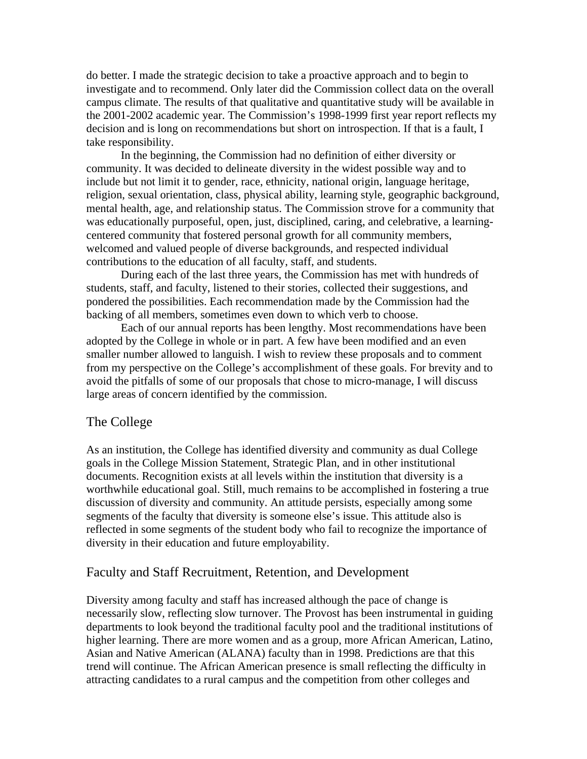do better. I made the strategic decision to take a proactive approach and to begin to investigate and to recommend. Only later did the Commission collect data on the overall campus climate. The results of that qualitative and quantitative study will be available in the 2001-2002 academic year. The Commission's 1998-1999 first year report reflects my decision and is long on recommendations but short on introspection. If that is a fault, I take responsibility.

In the beginning, the Commission had no definition of either diversity or community. It was decided to delineate diversity in the widest possible way and to include but not limit it to gender, race, ethnicity, national origin, language heritage, religion, sexual orientation, class, physical ability, learning style, geographic background, mental health, age, and relationship status. The Commission strove for a community that was educationally purposeful, open, just, disciplined, caring, and celebrative, a learningcentered community that fostered personal growth for all community members, welcomed and valued people of diverse backgrounds, and respected individual contributions to the education of all faculty, staff, and students.

During each of the last three years, the Commission has met with hundreds of students, staff, and faculty, listened to their stories, collected their suggestions, and pondered the possibilities. Each recommendation made by the Commission had the backing of all members, sometimes even down to which verb to choose.

Each of our annual reports has been lengthy. Most recommendations have been adopted by the College in whole or in part. A few have been modified and an even smaller number allowed to languish. I wish to review these proposals and to comment from my perspective on the College's accomplishment of these goals. For brevity and to avoid the pitfalls of some of our proposals that chose to micro-manage, I will discuss large areas of concern identified by the commission.

# The College

As an institution, the College has identified diversity and community as dual College goals in the College Mission Statement, Strategic Plan, and in other institutional documents. Recognition exists at all levels within the institution that diversity is a worthwhile educational goal. Still, much remains to be accomplished in fostering a true discussion of diversity and community. An attitude persists, especially among some segments of the faculty that diversity is someone else's issue. This attitude also is reflected in some segments of the student body who fail to recognize the importance of diversity in their education and future employability.

### Faculty and Staff Recruitment, Retention, and Development

Diversity among faculty and staff has increased although the pace of change is necessarily slow, reflecting slow turnover. The Provost has been instrumental in guiding departments to look beyond the traditional faculty pool and the traditional institutions of higher learning. There are more women and as a group, more African American, Latino, Asian and Native American (ALANA) faculty than in 1998. Predictions are that this trend will continue. The African American presence is small reflecting the difficulty in attracting candidates to a rural campus and the competition from other colleges and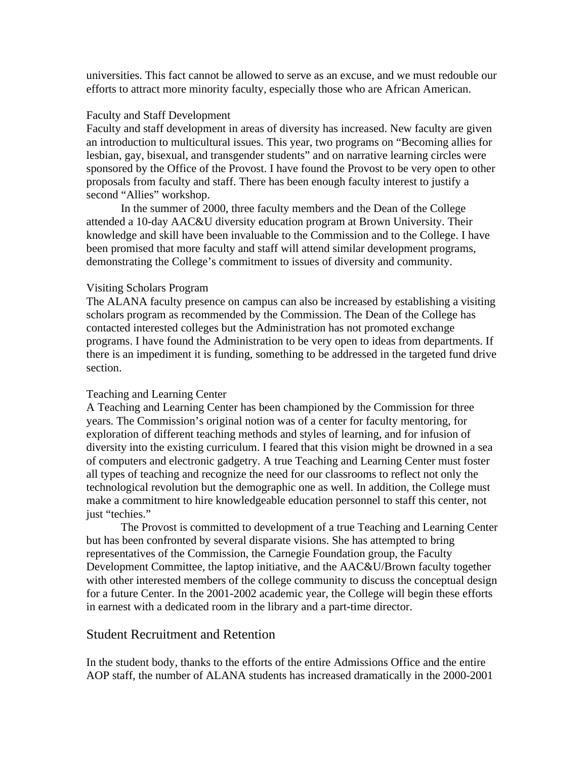universities. This fact cannot be allowed to serve as an excuse, and we must redouble our efforts to attract more minority faculty, especially those who are African American.

### Faculty and Staff Development

Faculty and staff development in areas of diversity has increased. New faculty are given an introduction to multicultural issues. This year, two programs on "Becoming allies for lesbian, gay, bisexual, and transgender students" and on narrative learning circles were sponsored by the Office of the Provost. I have found the Provost to be very open to other proposals from faculty and staff. There has been enough faculty interest to justify a second "Allies" workshop.

In the summer of 2000, three faculty members and the Dean of the College attended a 10-day AAC&U diversity education program at Brown University. Their knowledge and skill have been invaluable to the Commission and to the College. I have been promised that more faculty and staff will attend similar development programs, demonstrating the College's commitment to issues of diversity and community.

### Visiting Scholars Program

The ALANA faculty presence on campus can also be increased by establishing a visiting scholars program as recommended by the Commission. The Dean of the College has contacted interested colleges but the Administration has not promoted exchange programs. I have found the Administration to be very open to ideas from departments. If there is an impediment it is funding, something to be addressed in the targeted fund drive section.

### Teaching and Learning Center

A Teaching and Learning Center has been championed by the Commission for three years. The Commission's original notion was of a center for faculty mentoring, for exploration of different teaching methods and styles of learning, and for infusion of diversity into the existing curriculum. I feared that this vision might be drowned in a sea of computers and electronic gadgetry. A true Teaching and Learning Center must foster all types of teaching and recognize the need for our classrooms to reflect not only the technological revolution but the demographic one as well. In addition, the College must make a commitment to hire knowledgeable education personnel to staff this center, not just "techies."

The Provost is committed to development of a true Teaching and Learning Center but has been confronted by several disparate visions. She has attempted to bring representatives of the Commission, the Carnegie Foundation group, the Faculty Development Committee, the laptop initiative, and the AAC&U/Brown faculty together with other interested members of the college community to discuss the conceptual design for a future Center. In the 2001-2002 academic year, the College will begin these efforts in earnest with a dedicated room in the library and a part-time director.

### Student Recruitment and Retention

In the student body, thanks to the efforts of the entire Admissions Office and the entire AOP staff, the number of ALANA students has increased dramatically in the 2000-2001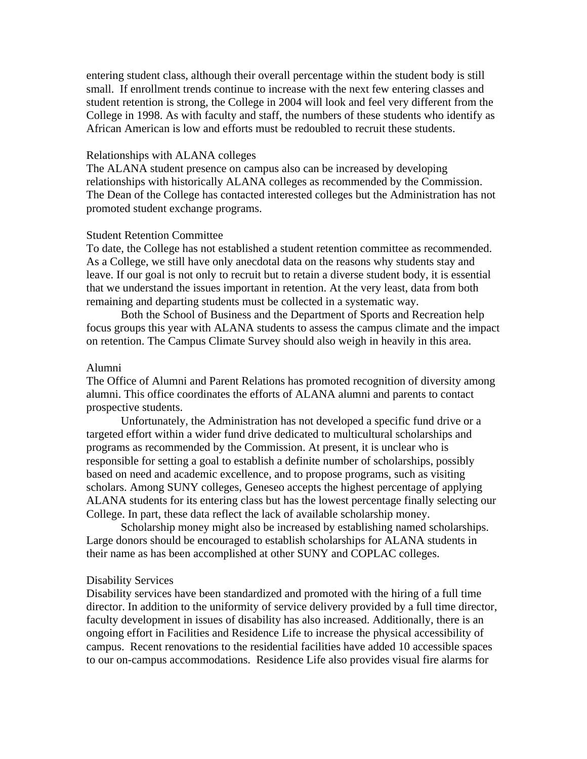entering student class, although their overall percentage within the student body is still small. If enrollment trends continue to increase with the next few entering classes and student retention is strong, the College in 2004 will look and feel very different from the College in 1998. As with faculty and staff, the numbers of these students who identify as African American is low and efforts must be redoubled to recruit these students.

### Relationships with ALANA colleges

The ALANA student presence on campus also can be increased by developing relationships with historically ALANA colleges as recommended by the Commission. The Dean of the College has contacted interested colleges but the Administration has not promoted student exchange programs.

#### Student Retention Committee

To date, the College has not established a student retention committee as recommended. As a College, we still have only anecdotal data on the reasons why students stay and leave. If our goal is not only to recruit but to retain a diverse student body, it is essential that we understand the issues important in retention. At the very least, data from both remaining and departing students must be collected in a systematic way.

Both the School of Business and the Department of Sports and Recreation help focus groups this year with ALANA students to assess the campus climate and the impact on retention. The Campus Climate Survey should also weigh in heavily in this area.

#### Alumni

The Office of Alumni and Parent Relations has promoted recognition of diversity among alumni. This office coordinates the efforts of ALANA alumni and parents to contact prospective students.

Unfortunately, the Administration has not developed a specific fund drive or a targeted effort within a wider fund drive dedicated to multicultural scholarships and programs as recommended by the Commission. At present, it is unclear who is responsible for setting a goal to establish a definite number of scholarships, possibly based on need and academic excellence, and to propose programs, such as visiting scholars. Among SUNY colleges, Geneseo accepts the highest percentage of applying ALANA students for its entering class but has the lowest percentage finally selecting our College. In part, these data reflect the lack of available scholarship money.

Scholarship money might also be increased by establishing named scholarships. Large donors should be encouraged to establish scholarships for ALANA students in their name as has been accomplished at other SUNY and COPLAC colleges.

#### Disability Services

Disability services have been standardized and promoted with the hiring of a full time director. In addition to the uniformity of service delivery provided by a full time director, faculty development in issues of disability has also increased. Additionally, there is an ongoing effort in Facilities and Residence Life to increase the physical accessibility of campus. Recent renovations to the residential facilities have added 10 accessible spaces to our on-campus accommodations. Residence Life also provides visual fire alarms for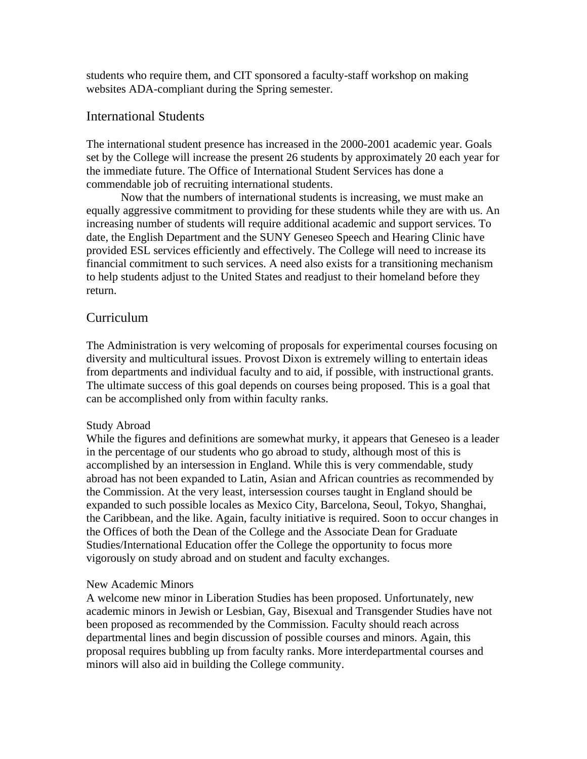students who require them, and CIT sponsored a faculty-staff workshop on making websites ADA-compliant during the Spring semester.

### International Students

The international student presence has increased in the 2000-2001 academic year. Goals set by the College will increase the present 26 students by approximately 20 each year for the immediate future. The Office of International Student Services has done a commendable job of recruiting international students.

Now that the numbers of international students is increasing, we must make an equally aggressive commitment to providing for these students while they are with us. An increasing number of students will require additional academic and support services. To date, the English Department and the SUNY Geneseo Speech and Hearing Clinic have provided ESL services efficiently and effectively. The College will need to increase its financial commitment to such services. A need also exists for a transitioning mechanism to help students adjust to the United States and readjust to their homeland before they return.

## Curriculum

The Administration is very welcoming of proposals for experimental courses focusing on diversity and multicultural issues. Provost Dixon is extremely willing to entertain ideas from departments and individual faculty and to aid, if possible, with instructional grants. The ultimate success of this goal depends on courses being proposed. This is a goal that can be accomplished only from within faculty ranks.

### Study Abroad

While the figures and definitions are somewhat murky, it appears that Geneseo is a leader in the percentage of our students who go abroad to study, although most of this is accomplished by an intersession in England. While this is very commendable, study abroad has not been expanded to Latin, Asian and African countries as recommended by the Commission. At the very least, intersession courses taught in England should be expanded to such possible locales as Mexico City, Barcelona, Seoul, Tokyo, Shanghai, the Caribbean, and the like. Again, faculty initiative is required. Soon to occur changes in the Offices of both the Dean of the College and the Associate Dean for Graduate Studies/International Education offer the College the opportunity to focus more vigorously on study abroad and on student and faculty exchanges.

### New Academic Minors

A welcome new minor in Liberation Studies has been proposed. Unfortunately, new academic minors in Jewish or Lesbian, Gay, Bisexual and Transgender Studies have not been proposed as recommended by the Commission. Faculty should reach across departmental lines and begin discussion of possible courses and minors. Again, this proposal requires bubbling up from faculty ranks. More interdepartmental courses and minors will also aid in building the College community.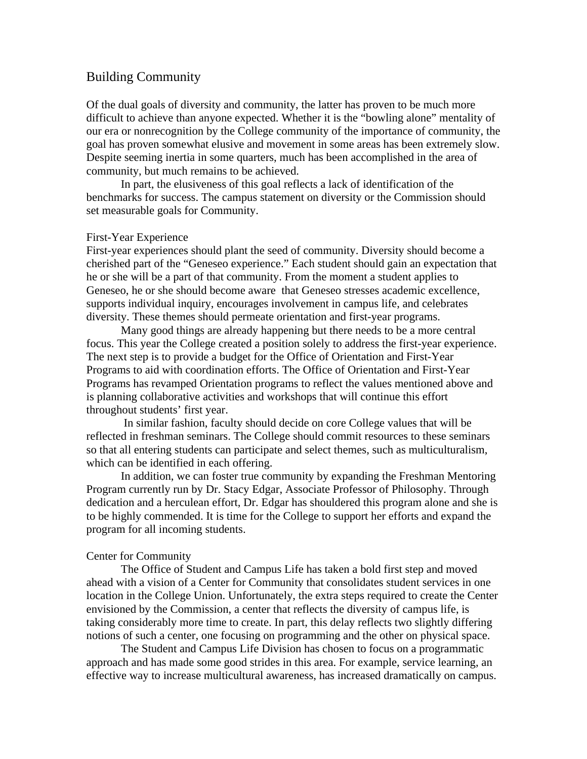## Building Community

Of the dual goals of diversity and community, the latter has proven to be much more difficult to achieve than anyone expected. Whether it is the "bowling alone" mentality of our era or nonrecognition by the College community of the importance of community, the goal has proven somewhat elusive and movement in some areas has been extremely slow. Despite seeming inertia in some quarters, much has been accomplished in the area of community, but much remains to be achieved.

In part, the elusiveness of this goal reflects a lack of identification of the benchmarks for success. The campus statement on diversity or the Commission should set measurable goals for Community.

### First-Year Experience

First-year experiences should plant the seed of community. Diversity should become a cherished part of the "Geneseo experience." Each student should gain an expectation that he or she will be a part of that community. From the moment a student applies to Geneseo, he or she should become aware that Geneseo stresses academic excellence, supports individual inquiry, encourages involvement in campus life, and celebrates diversity. These themes should permeate orientation and first-year programs.

Many good things are already happening but there needs to be a more central focus. This year the College created a position solely to address the first-year experience. The next step is to provide a budget for the Office of Orientation and First-Year Programs to aid with coordination efforts. The Office of Orientation and First-Year Programs has revamped Orientation programs to reflect the values mentioned above and is planning collaborative activities and workshops that will continue this effort throughout students' first year.

 In similar fashion, faculty should decide on core College values that will be reflected in freshman seminars. The College should commit resources to these seminars so that all entering students can participate and select themes, such as multiculturalism, which can be identified in each offering.

In addition, we can foster true community by expanding the Freshman Mentoring Program currently run by Dr. Stacy Edgar, Associate Professor of Philosophy. Through dedication and a herculean effort, Dr. Edgar has shouldered this program alone and she is to be highly commended. It is time for the College to support her efforts and expand the program for all incoming students.

### Center for Community

The Office of Student and Campus Life has taken a bold first step and moved ahead with a vision of a Center for Community that consolidates student services in one location in the College Union. Unfortunately, the extra steps required to create the Center envisioned by the Commission, a center that reflects the diversity of campus life, is taking considerably more time to create. In part, this delay reflects two slightly differing notions of such a center, one focusing on programming and the other on physical space.

The Student and Campus Life Division has chosen to focus on a programmatic approach and has made some good strides in this area. For example, service learning, an effective way to increase multicultural awareness, has increased dramatically on campus.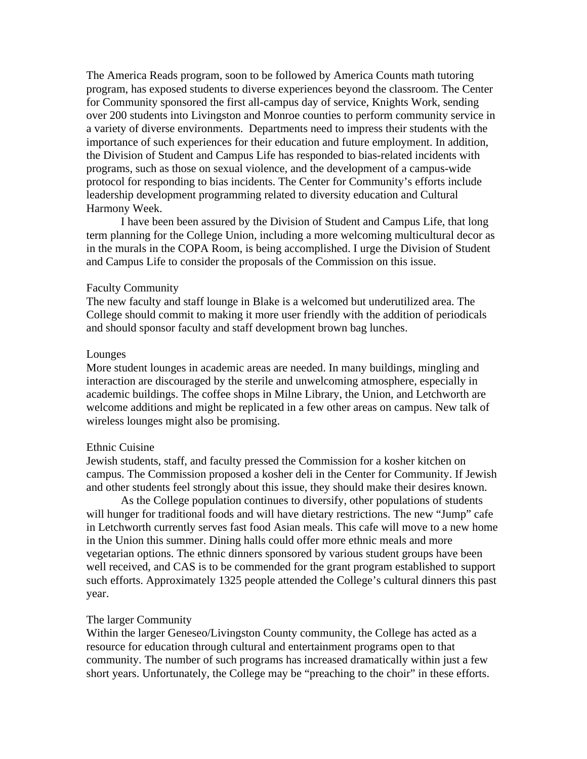The America Reads program, soon to be followed by America Counts math tutoring program, has exposed students to diverse experiences beyond the classroom. The Center for Community sponsored the first all-campus day of service, Knights Work, sending over 200 students into Livingston and Monroe counties to perform community service in a variety of diverse environments. Departments need to impress their students with the importance of such experiences for their education and future employment. In addition, the Division of Student and Campus Life has responded to bias-related incidents with programs, such as those on sexual violence, and the development of a campus-wide protocol for responding to bias incidents. The Center for Community's efforts include leadership development programming related to diversity education and Cultural Harmony Week.

I have been been assured by the Division of Student and Campus Life, that long term planning for the College Union, including a more welcoming multicultural decor as in the murals in the COPA Room, is being accomplished. I urge the Division of Student and Campus Life to consider the proposals of the Commission on this issue.

#### Faculty Community

The new faculty and staff lounge in Blake is a welcomed but underutilized area. The College should commit to making it more user friendly with the addition of periodicals and should sponsor faculty and staff development brown bag lunches.

### Lounges

More student lounges in academic areas are needed. In many buildings, mingling and interaction are discouraged by the sterile and unwelcoming atmosphere, especially in academic buildings. The coffee shops in Milne Library, the Union, and Letchworth are welcome additions and might be replicated in a few other areas on campus. New talk of wireless lounges might also be promising.

#### Ethnic Cuisine

Jewish students, staff, and faculty pressed the Commission for a kosher kitchen on campus. The Commission proposed a kosher deli in the Center for Community. If Jewish and other students feel strongly about this issue, they should make their desires known.

As the College population continues to diversify, other populations of students will hunger for traditional foods and will have dietary restrictions. The new "Jump" cafe in Letchworth currently serves fast food Asian meals. This cafe will move to a new home in the Union this summer. Dining halls could offer more ethnic meals and more vegetarian options. The ethnic dinners sponsored by various student groups have been well received, and CAS is to be commended for the grant program established to support such efforts. Approximately 1325 people attended the College's cultural dinners this past year.

#### The larger Community

Within the larger Geneseo/Livingston County community, the College has acted as a resource for education through cultural and entertainment programs open to that community. The number of such programs has increased dramatically within just a few short years. Unfortunately, the College may be "preaching to the choir" in these efforts.